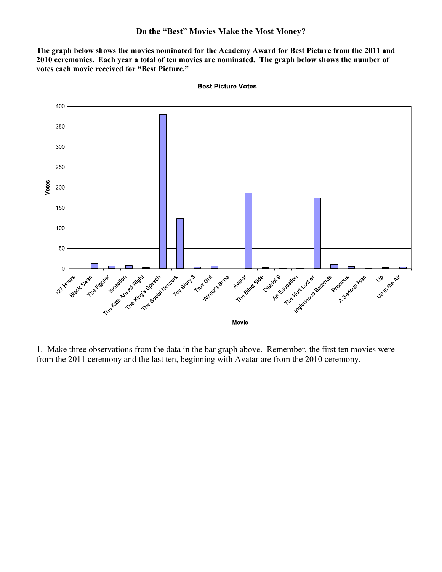**The graph below shows the movies nominated for the Academy Award for Best Picture from the 2011 and 2010 ceremonies. Each year a total of ten movies are nominated. The graph below shows the number of votes each movie received for "Best Picture."**



**Best Picture Votes** 

1. Make three observations from the data in the bar graph above. Remember, the first ten movies were from the 2011 ceremony and the last ten, beginning with Avatar are from the 2010 ceremony.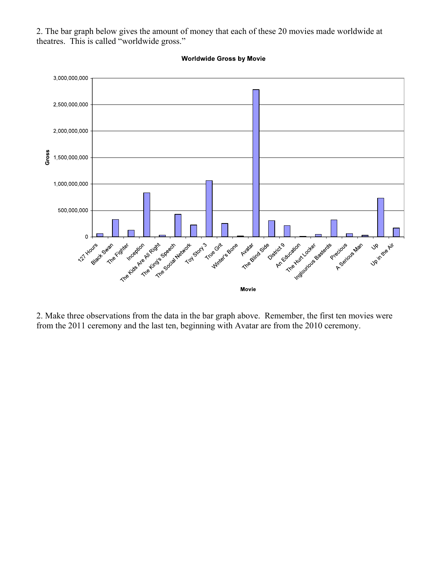2. The bar graph below gives the amount of money that each of these 20 movies made worldwide at theatres. This is called "worldwide gross."



**Worldwide Gross by Movie** 

2. Make three observations from the data in the bar graph above. Remember, the first ten movies were from the 2011 ceremony and the last ten, beginning with Avatar are from the 2010 ceremony.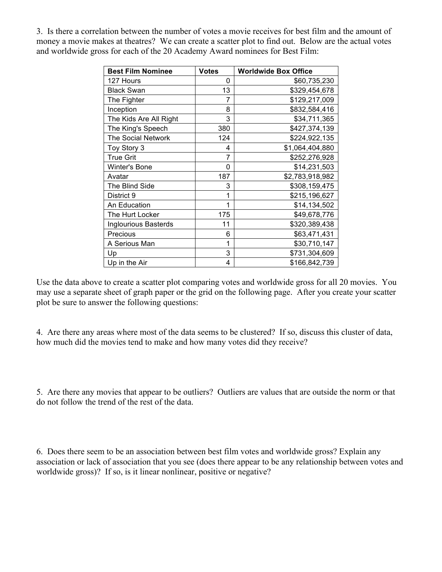3. Is there a correlation between the number of votes a movie receives for best film and the amount of money a movie makes at theatres? We can create a scatter plot to find out. Below are the actual votes and worldwide gross for each of the 20 Academy Award nominees for Best Film:

| <b>Best Film Nominee</b>    | <b>Votes</b> | <b>Worldwide Box Office</b> |
|-----------------------------|--------------|-----------------------------|
| 127 Hours                   | 0            | \$60,735,230                |
| <b>Black Swan</b>           | 13           | \$329,454,678               |
| The Fighter                 | 7            | \$129,217,009               |
| Inception                   | 8            | \$832,584,416               |
| The Kids Are All Right      | 3            | \$34,711,365                |
| The King's Speech           | 380          | \$427,374,139               |
| <b>The Social Network</b>   | 124          | \$224,922,135               |
| Toy Story 3                 | 4            | \$1,064,404,880             |
| <b>True Grit</b>            | 7            | \$252,276,928               |
| <b>Winter's Bone</b>        | 0            | \$14,231,503                |
| Avatar                      | 187          | \$2,783,918,982             |
| The Blind Side              | 3            | \$308,159,475               |
| District 9                  | 1            | \$215,196,627               |
| An Education                | 1            | \$14,134,502                |
| The Hurt Locker             | 175          | \$49,678,776                |
| <b>Inglourious Basterds</b> | 11           | \$320,389,438               |
| Precious                    | 6            | \$63,471,431                |
| A Serious Man               | 1            | \$30,710,147                |
| Up                          | 3            | \$731,304,609               |
| Up in the Air               | 4            | \$166,842,739               |

Use the data above to create a scatter plot comparing votes and worldwide gross for all 20 movies. You may use a separate sheet of graph paper or the grid on the following page. After you create your scatter plot be sure to answer the following questions:

4. Are there any areas where most of the data seems to be clustered? If so, discuss this cluster of data, how much did the movies tend to make and how many votes did they receive?

5. Are there any movies that appear to be outliers? Outliers are values that are outside the norm or that do not follow the trend of the rest of the data.

6. Does there seem to be an association between best film votes and worldwide gross? Explain any association or lack of association that you see (does there appear to be any relationship between votes and worldwide gross)? If so, is it linear nonlinear, positive or negative?